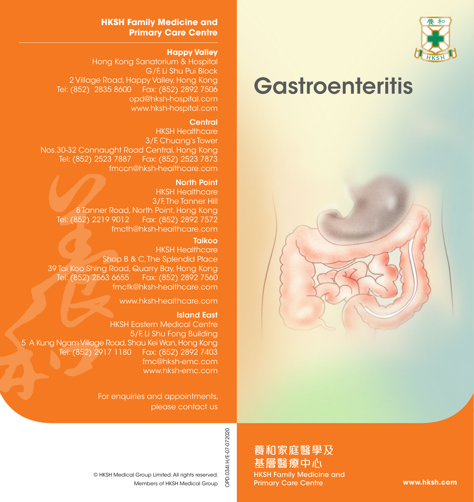

# **Gastroenteritis**



### **HKSH Family Medicine and Primary Care Centre**

### **Happy Valley**

Hong Kong Sanatorium & Hospital G/F, Li Shu Pui Block 2 Village Road, Happy Valley, Hong Kong Tel: (852) 2835 8600 Fax: (852) 2892 7506 opd@hksh-hospital.com www.hksh-hospital.com

### **Central**

HKSH Healthcare 3/F, Chuang's Tower Nos.30-32 Connaught Road Central, Hong Kong Tel: (852) 2523 7887 Fax: (852) 2523 7873 fmccn@hksh-healthcare.com

#### North Point

HKSH Healthcare 3/F. The Tanner Hill 8 Tanner Road, North Point, Hong Kong Tel: (852) 2219 9012 Fax: (852) 2892 7572 fmcth@hksh-healthcare.com

#### **Taikoo**

HKSH Healthcare Shop B & C. The Splendid Place 39 Tai Koo Shing Road, Quarry Bay, Hong Kong Tel: (852) 2563 6655 Fax: (852) 2892 7560 fmctk@hksh-healthcare.com

www.hksh-healthcare.com

### Island East

HKSH Eastern Medical Centre 5/F, Li Shu Fong Building 5 A Kung Ngam Village Road, Shau Kei Wan, Hong Kong Tel: (852) 2917 1180 Fax: (852) 2892 7403 fmc@hksh-emc.com www.hksh-emc.com

> For enquiries and appointments, please contact us

> > OPD.034I.H/E-07-072020 OPD.034I.H/E-07-072020

養和家庭醫學及 基層醫療中心 HKSH Family Medicine and Primary Care Centre

**www.hksh.com**

Members of HKSH Medical Group © HKSH Medical Group Limited. All rights reserved.